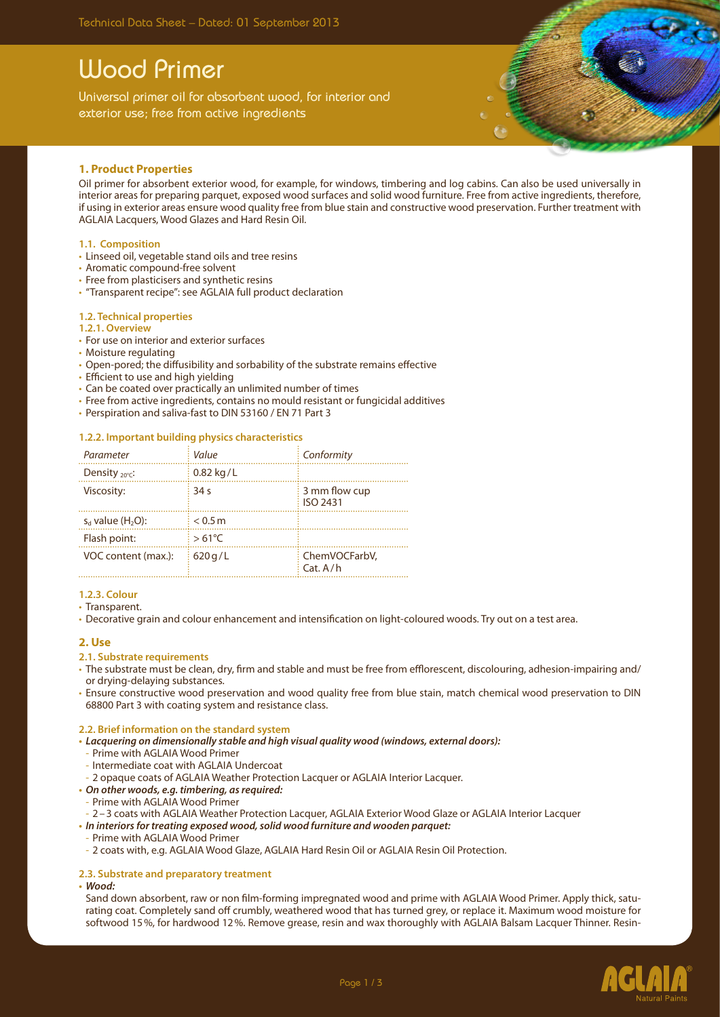# Wood Primer

Universal primer oil for absorbent wood, for interior and exterior use; free from active ingredients



## **1. Product Properties**

Oil primer for absorbent exterior wood, for example, for windows, timbering and log cabins. Can also be used universally in interior areas for preparing parquet, exposed wood surfaces and solid wood furniture. Free from active ingredients, therefore, if using in exterior areas ensure wood quality free from blue stain and constructive wood preservation. Further treatment with AGLAIA Lacquers, Wood Glazes and Hard Resin Oil.

### **1.1. Composition**

- • Linseed oil, vegetable stand oils and tree resins
- Aromatic compound-free solvent
- Free from plasticisers and synthetic resins
- • "Transparent recipe": see AGLAIA full product declaration

### **1.2. Technical properties**

#### **1.2.1. Overview**

- For use on interior and exterior surfaces
- Moisture regulating
- • Open-pored; the diffusibility and sorbability of the substrate remains effective
- Efficient to use and high yielding
- Can be coated over practically an unlimited number of times
- Free from active ingredients, contains no mould resistant or fungicidal additives
- Perspiration and saliva-fast to DIN 53160 / EN 71 Part 3

### **1.2.2. Important building physics characteristics**

| Parameter                       | Value           | Conformity                       |
|---------------------------------|-----------------|----------------------------------|
| Density $_{20^{\circ}C}$ :      | $0.82$ kg/L     |                                  |
| Viscosity:                      | 34 <sub>s</sub> | 3 mm flow cup<br><b>ISO 2431</b> |
| $s_d$ value (H <sub>2</sub> O): | < 0.5 m         |                                  |
| Flash point:                    | $>61^{\circ}$ C |                                  |
| VOC content (max.):             | 620q/L          | ChemVOCFarbV,<br>Cat. A/h        |

### **1.2.3. Colour**

• Transparent.

• Decorative grain and colour enhancement and intensification on light-coloured woods. Try out on a test area.

### **2. Use**

#### **2.1. Substrate requirements**

- • The substrate must be clean, dry, firm and stable and must be free from efflorescent, discolouring, adhesion-impairing and/ or drying-delaying substances.
- Ensure constructive wood preservation and wood quality free from blue stain, match chemical wood preservation to DIN 68800 Part 3 with coating system and resistance class.

### **2.2. Brief information on the standard system**

- **• Lacquering on dimensionally stable and high visual quality wood (windows, external doors):**
- Prime with AGLAIA Wood Primer
- Intermediate coat with AGLAIA Undercoat
- 2 opaque coats of AGLAIA Weather Protection Lacquer or AGLAIA Interior Lacquer.
- **• On other woods, e.g. timbering, asrequired:**
- Prime with AGLAIA Wood Primer
- 2–3 coats with AGLAIA Weather Protection Lacquer, AGLAIA Exterior Wood Glaze or AGLAIA Interior Lacquer
- **• In interiorsfor treating exposed wood,solid wood furniture and wooden parquet:**
- Prime with AGLAIA Wood Primer
- 2 coats with, e.g. AGLAIA Wood Glaze, AGLAIA Hard Resin Oil or AGLAIA Resin Oil Protection.

### **2.3. Substrate and preparatory treatment**

#### **• Wood:**

Sand down absorbent, raw or non film-forming impregnated wood and prime with AGLAIA Wood Primer. Apply thick, saturating coat. Completely sand off crumbly, weathered wood that has turned grey, or replace it. Maximum wood moisture for softwood 15%, for hardwood 12%. Remove grease, resin and wax thoroughly with AGLAIA Balsam Lacquer Thinner. Resin-

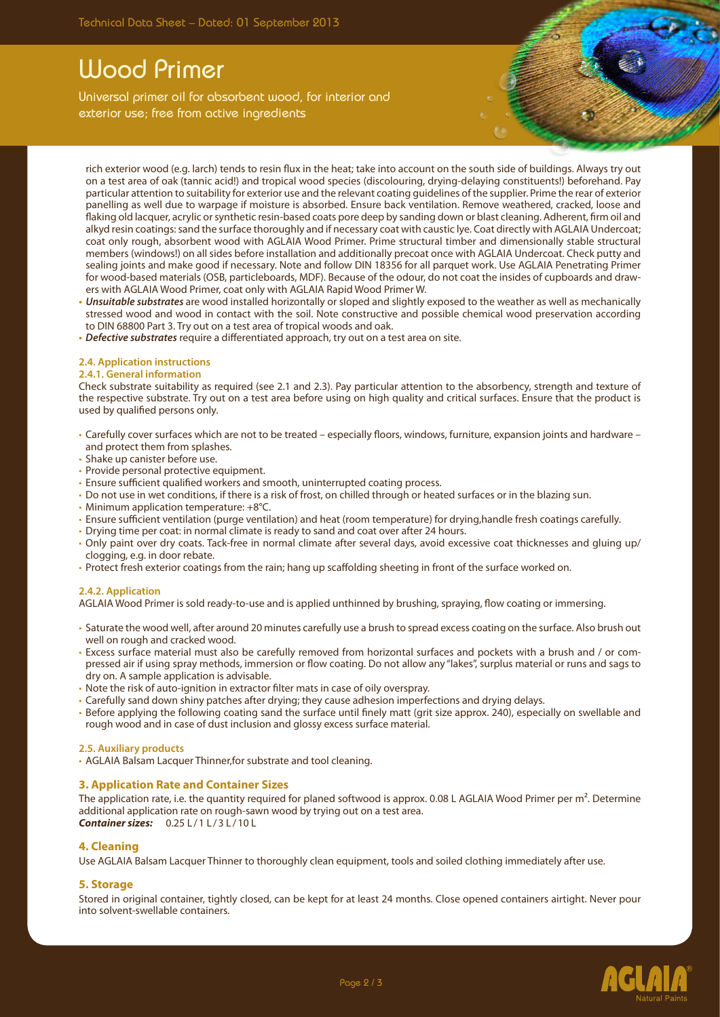# Wood Primer

Universal primer oil for absorbent wood, for interior and exterior use; free from active ingredients

rich exterior wood (e.g. larch) tends to resin flux in the heat; take into account on the south side of buildings. Always try out on a test area of oak (tannic acid!) and tropical wood species (discolouring, drying-delaying constituents!) beforehand. Pay particular attention to suitability for exterior use and the relevant coating guidelines of the supplier. Prime the rear of exterior panelling as well due to warpage if moisture is absorbed. Ensure back ventilation. Remove weathered, cracked, loose and flaking old lacquer, acrylic or synthetic resin-based coats pore deep by sanding down or blast cleaning. Adherent, firm oil and alkyd resin coatings: sand the surface thoroughly and if necessary coat with caustic lye. Coat directly with AGLAIA Undercoat; coat only rough, absorbent wood with AGLAIA Wood Primer. Prime structural timber and dimensionally stable structural members (windows!) on all sides before installation and additionally precoat once with AGLAIA Undercoat. Check putty and sealing joints and make good if necessary. Note and follow DIN 18356 for all parquet work. Use AGLAIA Penetrating Primer for wood-based materials (OSB, particleboards, MDF). Because of the odour, do not coat the insides of cupboards and drawers with AGLAIA Wood Primer, coat only with AGLAIA Rapid Wood Primer W.

- **• Unsuitable substrates** are wood installed horizontally or sloped and slightly exposed to the weather as well as mechanically stressed wood and wood in contact with the soil. Note constructive and possible chemical wood preservation according to DIN 68800 Part 3. Try out on a test area of tropical woods and oak.
- **• Defective substrates** require a differentiated approach, try out on a test area on site.

## **2.4. Application instructions**

### **2.4.1. General information**

Check substrate suitability as required (see 2.1 and 2.3). Pay particular attention to the absorbency, strength and texture of the respective substrate. Try out on a test area before using on high quality and critical surfaces. Ensure that the product is used by qualified persons only.

- • Carefully cover surfaces which are not to be treated especially floors, windows, furniture, expansion joints and hardware and protect them from splashes.
- Shake up canister before use.
- Provide personal protective equipment.
- Ensure sufficient qualified workers and smooth, uninterrupted coating process.
- Do not use in wet conditions, if there is a risk of frost, on chilled through or heated surfaces or in the blazing sun.
- Minimum application temperature:  $+8^{\circ}$ C.
- • Ensure sufficient ventilation (purge ventilation) and heat (room temperature) for drying,handle fresh coatings carefully.
- Drying time per coat: in normal climate is ready to sand and coat over after 24 hours.
- • Only paint over dry coats. Tack-free in normal climate after several days, avoid excessive coat thicknesses and gluing up/ clogging, e.g. in door rebate.
- • Protect fresh exterior coatings from the rain; hang up scaffolding sheeting in front of the surface worked on.

## **2.4.2. Application**

AGLAIA Wood Primer is sold ready-to-use and is applied unthinned by brushing, spraying, flow coating or immersing.

- • Saturate the wood well, after around 20 minutes carefully use a brush to spread excess coating on the surface. Also brush out well on rough and cracked wood.
- • Excess surface material must also be carefully removed from horizontal surfaces and pockets with a brush and / or compressed air if using spray methods, immersion or flow coating. Do not allow any "lakes", surplus material or runs and sags to dry on. A sample application is advisable.
- Note the risk of auto-ignition in extractor filter mats in case of oily overspray.
- • Carefully sand down shiny patches after drying; they cause adhesion imperfections and drying delays.
- • Before applying the following coating sand the surface until finely matt (grit size approx. 240), especially on swellable and rough wood and in case of dust inclusion and glossy excess surface material.

### **2.5. Auxiliary products**

• AGLAIA Balsam Lacquer Thinner, for substrate and tool cleaning.

## **3. Application Rate and Container Sizes**

The application rate, i.e. the quantity required for planed softwood is approx. 0.08 L AGLAIA Wood Primer per m<sup>2</sup>. Determine additional application rate on rough-sawn wood by trying out on a test area. **Container sizes:** 0.25 L/1 L/3 L/10 L

## **4. Cleaning**

Use AGLAIA Balsam Lacquer Thinner to thoroughly clean equipment, tools and soiled clothing immediately after use.

## **5. Storage**

Stored in original container, tightly closed, can be kept for at least 24 months. Close opened containers airtight. Never pour into solvent-swellable containers.